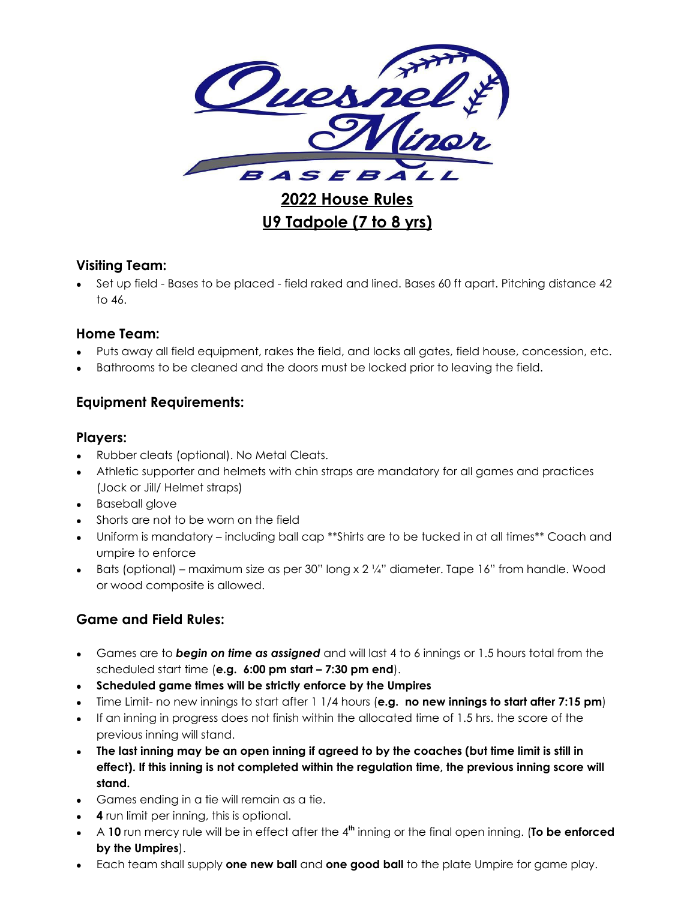

**2022 House Rules U9 Tadpole (7 to 8 yrs)**

### **Visiting Team:**

• Set up field - Bases to be placed - field raked and lined. Bases 60 ft apart. Pitching distance 42 to 46.

### **Home Team:**

- Puts away all field equipment, rakes the field, and locks all gates, field house, concession, etc.
- Bathrooms to be cleaned and the doors must be locked prior to leaving the field.

# **Equipment Requirements:**

### **Players:**

- Rubber cleats (optional). No Metal Cleats.
- Athletic supporter and helmets with chin straps are mandatory for all games and practices (Jock or Jill/ Helmet straps)
- Baseball glove
- Shorts are not to be worn on the field
- Uniform is mandatory including ball cap \*\*Shirts are to be tucked in at all times\*\* Coach and umpire to enforce
- Bats (optional) maximum size as per 30" long x  $2\frac{1}{4}$ " diameter. Tape 16" from handle. Wood or wood composite is allowed.

# **Game and Field Rules:**

- Games are to *begin on time as assigned* and will last 4 to 6 innings or 1.5 hours total from the scheduled start time (**e.g. 6:00 pm start – 7:30 pm end**).
- **Scheduled game times will be strictly enforce by the Umpires**
- Time Limit- no new innings to start after 1 1/4 hours (**e.g. no new innings to start after 7:15 pm**)
- If an inning in progress does not finish within the allocated time of 1.5 hrs. the score of the previous inning will stand.
- The last inning may be an open inning if agreed to by the coaches (but time limit is still in **effect). If this inning is not completed within the regulation time, the previous inning score will stand.**
- Games ending in a tie will remain as a tie.
- **4** run limit per inning, this is optional.
- A **10** run mercy rule will be in effect after the 4 **th** inning or the final open inning. (**To be enforced by the Umpires**).
- Each team shall supply **one new ball** and **one good ball** to the plate Umpire for game play.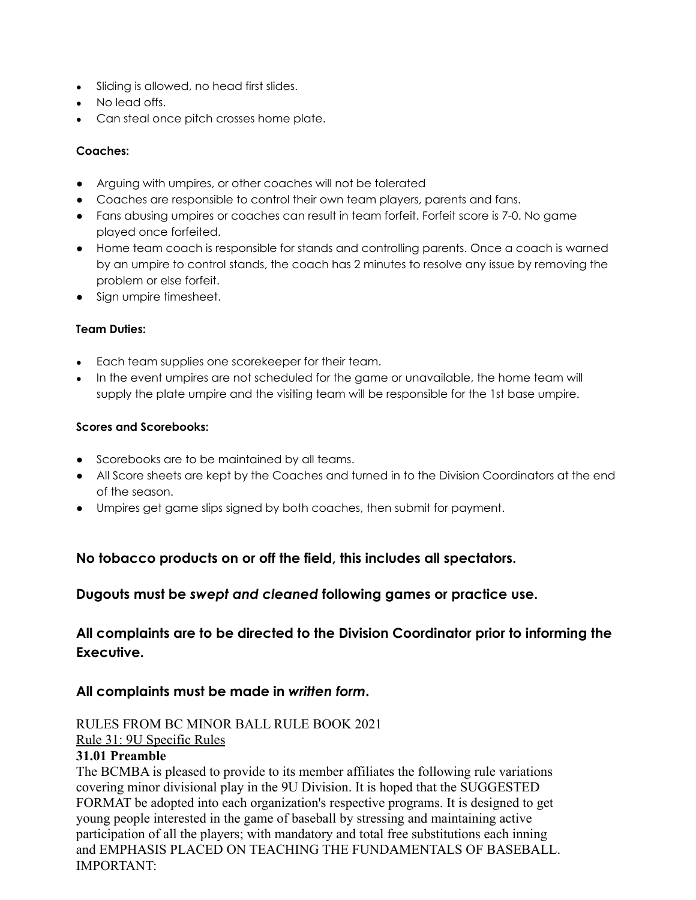- Sliding is allowed, no head first slides.
- No lead offs.
- Can steal once pitch crosses home plate.

#### **Coaches:**

- Arguing with umpires, or other coaches will not be tolerated
- Coaches are responsible to control their own team players, parents and fans.
- Fans abusing umpires or coaches can result in team forfeit. Forfeit score is 7-0. No game played once forfeited.
- Home team coach is responsible for stands and controlling parents. Once a coach is warned by an umpire to control stands, the coach has 2 minutes to resolve any issue by removing the problem or else forfeit.
- Sign umpire timesheet.

#### **Team Duties:**

- Each team supplies one scorekeeper for their team.
- In the event umpires are not scheduled for the game or unavailable, the home team will supply the plate umpire and the visiting team will be responsible for the 1st base umpire.

#### **Scores and Scorebooks:**

- Scorebooks are to be maintained by all teams.
- All Score sheets are kept by the Coaches and turned in to the Division Coordinators at the end of the season.
- Umpires get game slips signed by both coaches, then submit for payment.

# **No tobacco products on or off the field, this includes all spectators.**

### **Dugouts must be** *swept and cleaned* **following games or practice use.**

# **All complaints are to be directed to the Division Coordinator prior to informing the Executive.**

# **All complaints must be made in** *written form***.**

#### RULES FROM BC MINOR BALL RULE BOOK 2021 Rule 31: 9U Specific Rules

### **31.01 Preamble**

The BCMBA is pleased to provide to its member affiliates the following rule variations covering minor divisional play in the 9U Division. It is hoped that the SUGGESTED FORMAT be adopted into each organization's respective programs. It is designed to get young people interested in the game of baseball by stressing and maintaining active participation of all the players; with mandatory and total free substitutions each inning and EMPHASIS PLACED ON TEACHING THE FUNDAMENTALS OF BASEBALL. IMPORTANT: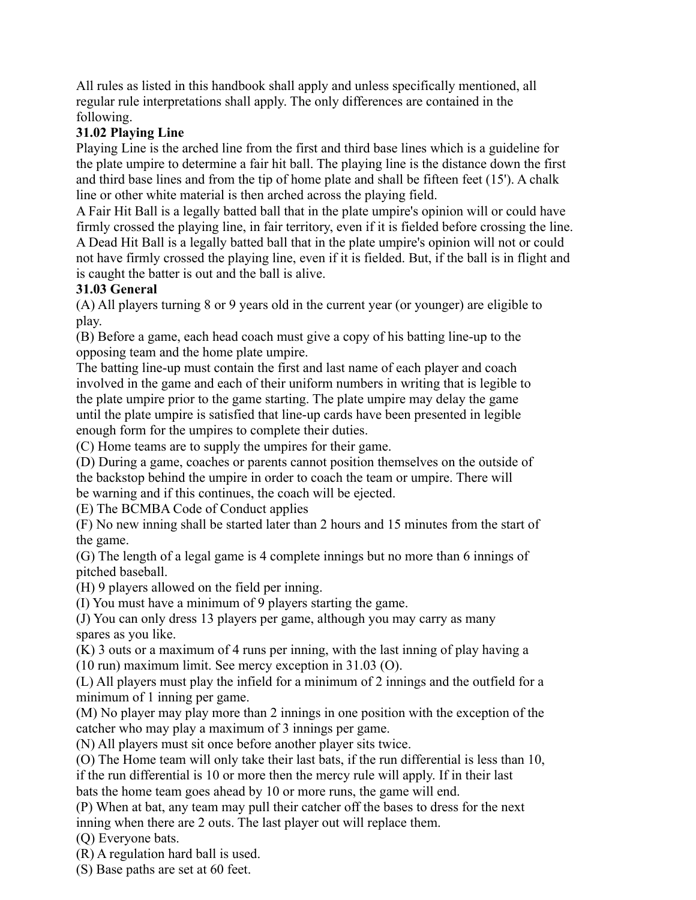All rules as listed in this handbook shall apply and unless specifically mentioned, all regular rule interpretations shall apply. The only differences are contained in the following.

# **31.02 Playing Line**

Playing Line is the arched line from the first and third base lines which is a guideline for the plate umpire to determine a fair hit ball. The playing line is the distance down the first and third base lines and from the tip of home plate and shall be fifteen feet (15'). A chalk line or other white material is then arched across the playing field.

A Fair Hit Ball is a legally batted ball that in the plate umpire's opinion will or could have firmly crossed the playing line, in fair territory, even if it is fielded before crossing the line. A Dead Hit Ball is a legally batted ball that in the plate umpire's opinion will not or could not have firmly crossed the playing line, even if it is fielded. But, if the ball is in flight and is caught the batter is out and the ball is alive.

### **31.03 General**

(A) All players turning 8 or 9 years old in the current year (or younger) are eligible to play.

(B) Before a game, each head coach must give a copy of his batting line-up to the opposing team and the home plate umpire.

The batting line-up must contain the first and last name of each player and coach involved in the game and each of their uniform numbers in writing that is legible to the plate umpire prior to the game starting. The plate umpire may delay the game until the plate umpire is satisfied that line-up cards have been presented in legible enough form for the umpires to complete their duties.

(C) Home teams are to supply the umpires for their game.

(D) During a game, coaches or parents cannot position themselves on the outside of the backstop behind the umpire in order to coach the team or umpire. There will be warning and if this continues, the coach will be ejected.

(E) The BCMBA Code of Conduct applies

(F) No new inning shall be started later than 2 hours and 15 minutes from the start of the game.

(G) The length of a legal game is 4 complete innings but no more than 6 innings of pitched baseball.

(H) 9 players allowed on the field per inning.

(I) You must have a minimum of 9 players starting the game.

(J) You can only dress 13 players per game, although you may carry as many spares as you like.

(K) 3 outs or a maximum of 4 runs per inning, with the last inning of play having a (10 run) maximum limit. See mercy exception in 31.03 (O).

(L) All players must play the infield for a minimum of 2 innings and the outfield for a minimum of 1 inning per game.

(M) No player may play more than 2 innings in one position with the exception of the catcher who may play a maximum of 3 innings per game.

(N) All players must sit once before another player sits twice.

(O) The Home team will only take their last bats, if the run differential is less than 10, if the run differential is 10 or more then the mercy rule will apply. If in their last

bats the home team goes ahead by 10 or more runs, the game will end.

(P) When at bat, any team may pull their catcher off the bases to dress for the next inning when there are 2 outs. The last player out will replace them.

(Q) Everyone bats.

(R) A regulation hard ball is used.

(S) Base paths are set at 60 feet.